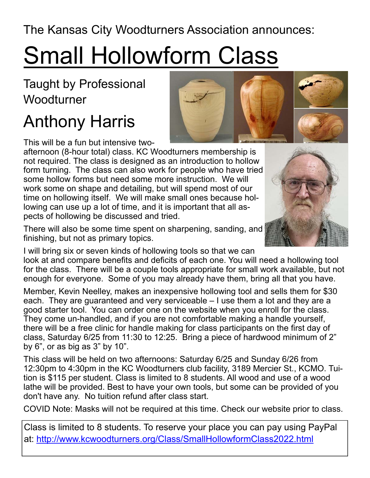The Kansas City Woodturners Association announces:

## Small Hollowform Class

Taught by Professional Woodturner

## Anthony Harris

This will be a fun but intensive two-

afternoon (8-hour total) class. KC Woodturners membership is not required. The class is designed as an introduction to hollow form turning. The class can also work for people who have tried some hollow forms but need some more instruction. We will work some on shape and detailing, but will spend most of our time on hollowing itself. We will make small ones because hollowing can use up a lot of time, and it is important that all aspects of hollowing be discussed and tried.

There will also be some time spent on sharpening, sanding, and finishing, but not as primary topics.

I will bring six or seven kinds of hollowing tools so that we can look at and compare benefits and deficits of each one. You will need a hollowing tool for the class. There will be a couple tools appropriate for small work available, but not enough for everyone. Some of you may already have them, bring all that you have.

Member, Kevin Neelley, makes an inexpensive hollowing tool and sells them for \$30 each. They are guaranteed and very serviceable – I use them a lot and they are a good starter tool. You can order one on the website when you enroll for the class. They come un-handled, and if you are not comfortable making a handle yourself, there will be a free clinic for handle making for class participants on the first day of class, Saturday 6/25 from 11:30 to 12:25. Bring a piece of hardwood minimum of 2" by 6", or as big as 3" by 10".

This class will be held on two afternoons: Saturday 6/25 and Sunday 6/26 from 12:30pm to 4:30pm in the KC Woodturners club facility, 3189 Mercier St., KCMO. Tuition is \$115 per student. Class is limited to 8 students. All wood and use of a wood lathe will be provided. Best to have your own tools, but some can be provided of you don't have any. No tuition refund after class start.

COVID Note: Masks will not be required at this time. Check our website prior to class.

Class is limited to 8 students. To reserve your place you can pay using PayPal at: http://www.kcwoodturners.org/Class/SmallHollowformClass2022.html